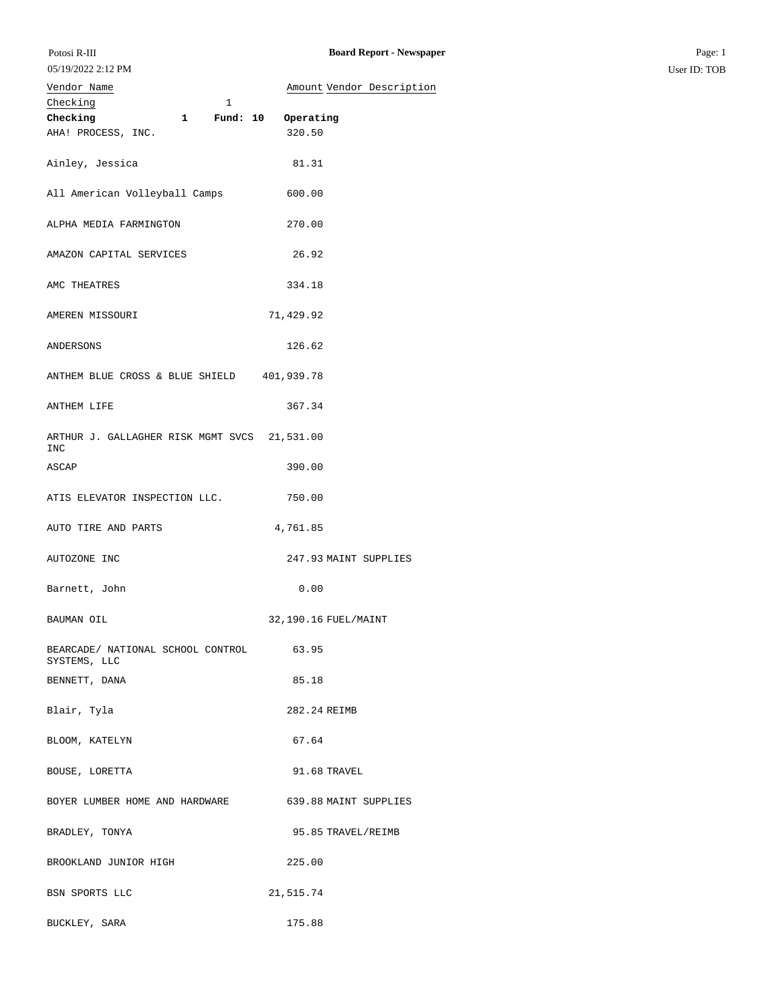| Vendor Name                                             | Amount Vendor Description |
|---------------------------------------------------------|---------------------------|
| Checking<br>$\mathbf{1}$                                |                           |
| Checking 1 Fund: 10 Operating                           |                           |
|                                                         |                           |
| AHA! PROCESS, INC.                                      | 320.50                    |
| Ainley, Jessica                                         | 81.31                     |
| All American Volleyball Camps                           | 600.00                    |
| ALPHA MEDIA FARMINGTON                                  | 270.00                    |
| AMAZON CAPITAL SERVICES                                 | 26.92                     |
| AMC THEATRES                                            | 334.18                    |
| AMEREN MISSOURI                                         | 71,429.92                 |
| ANDERSONS                                               | 126.62                    |
| ANTHEM BLUE CROSS & BLUE SHIELD 401,939.78              |                           |
| ANTHEM LIFE                                             | 367.34                    |
| ARTHUR J. GALLAGHER RISK MGMT SVCS 21,531.00<br>INC     |                           |
| ASCAP                                                   | 390.00                    |
| ATIS ELEVATOR INSPECTION LLC.                           | 750.00                    |
| AUTO TIRE AND PARTS                                     | 4,761.85                  |
| AUTOZONE INC                                            | 247.93 MAINT SUPPLIES     |
| Barnett, John                                           | 0.00                      |
| BAUMAN OIL                                              | 32,190.16 FUEL/MAINT      |
| BEARCADE/ NATIONAL SCHOOL CONTROL 63.95<br>SYSTEMS, LLC |                           |
| BENNETT, DANA                                           | 85.18                     |
| Blair, Tyla                                             | 282.24 REIMB              |
| BLOOM, KATELYN                                          | 67.64                     |
| BOUSE, LORETTA                                          | 91.68 TRAVEL              |
| BOYER LUMBER HOME AND HARDWARE                          | 639.88 MAINT SUPPLIES     |
| BRADLEY, TONYA                                          | 95.85 TRAVEL/REIMB        |
| BROOKLAND JUNIOR HIGH                                   | 225.00                    |
| BSN SPORTS LLC                                          | 21,515.74                 |

BUCKLEY, SARA 175.88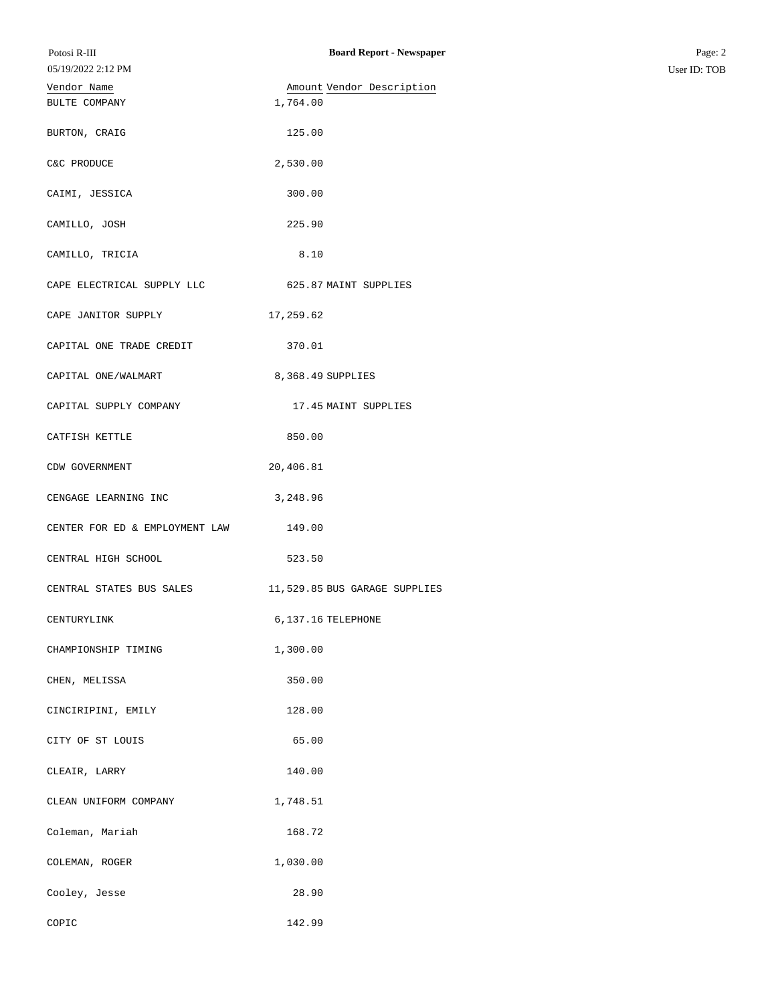| Potosi R-III                   | <b>Board Report - Newspaper</b> | Page: 2      |
|--------------------------------|---------------------------------|--------------|
| 05/19/2022 2:12 PM             |                                 | User ID: TOB |
| Vendor Name                    | Amount Vendor Description       |              |
| BULTE COMPANY                  | 1,764.00                        |              |
| BURTON, CRAIG                  | 125.00                          |              |
| C&C PRODUCE                    | 2,530.00                        |              |
| CAIMI, JESSICA                 | 300.00                          |              |
| CAMILLO, JOSH                  | 225.90                          |              |
| CAMILLO, TRICIA                | 8.10                            |              |
| CAPE ELECTRICAL SUPPLY LLC     | 625.87 MAINT SUPPLIES           |              |
| CAPE JANITOR SUPPLY            | 17,259.62                       |              |
| CAPITAL ONE TRADE CREDIT       | 370.01                          |              |
| CAPITAL ONE/WALMART            | 8,368.49 SUPPLIES               |              |
| CAPITAL SUPPLY COMPANY         | 17.45 MAINT SUPPLIES            |              |
| CATFISH KETTLE                 | 850.00                          |              |
| CDW GOVERNMENT                 | 20,406.81                       |              |
| CENGAGE LEARNING INC           | 3,248.96                        |              |
| CENTER FOR ED & EMPLOYMENT LAW | 149.00                          |              |
| CENTRAL HIGH SCHOOL            | 523.50                          |              |
| CENTRAL STATES BUS SALES       | 11,529.85 BUS GARAGE SUPPLIES   |              |
| CENTURYLINK                    | 6,137.16 TELEPHONE              |              |
| CHAMPIONSHIP TIMING            | 1,300.00                        |              |
| CHEN, MELISSA                  | 350.00                          |              |
| CINCIRIPINI, EMILY             | 128.00                          |              |
| CITY OF ST LOUIS               | 65.00                           |              |
| CLEAIR, LARRY                  | 140.00                          |              |
| CLEAN UNIFORM COMPANY          | 1,748.51                        |              |
| Coleman, Mariah                | 168.72                          |              |
| COLEMAN, ROGER                 | 1,030.00                        |              |
| Cooley, Jesse                  | 28.90                           |              |
| COPIC                          | 142.99                          |              |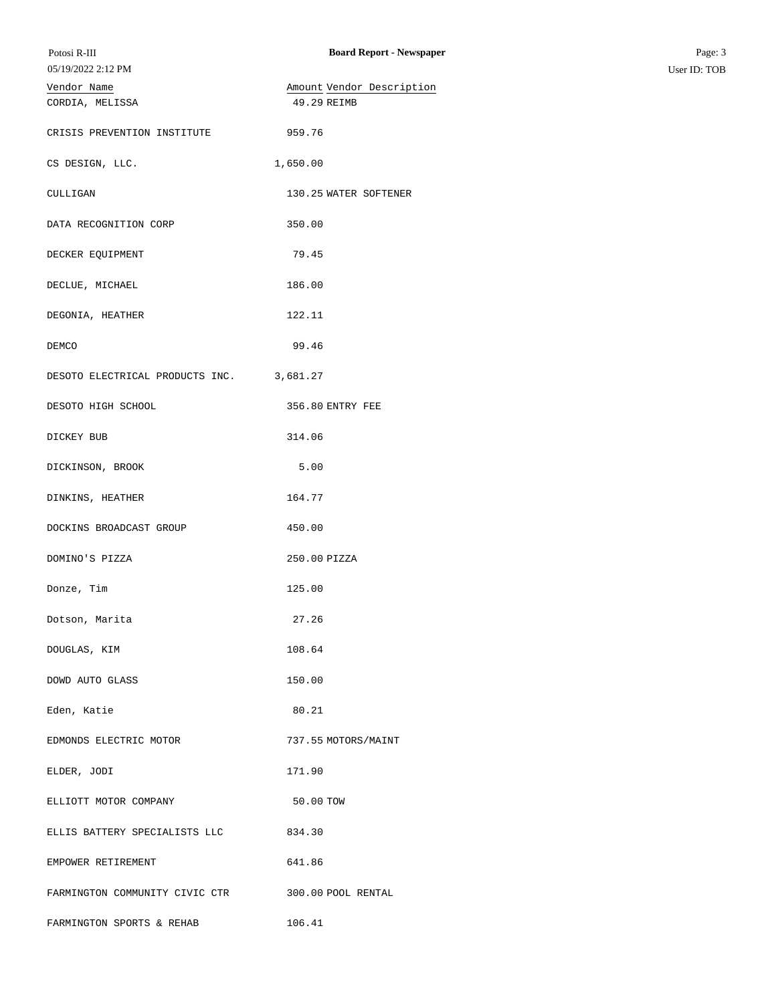| Potosi R-III                             | <b>Board Report - Newspaper</b> | Page: 3      |
|------------------------------------------|---------------------------------|--------------|
| 05/19/2022 2:12 PM                       |                                 | User ID: TOB |
| Vendor Name                              | Amount Vendor Description       |              |
| CORDIA, MELISSA                          | 49.29 REIMB                     |              |
| CRISIS PREVENTION INSTITUTE              | 959.76                          |              |
| CS DESIGN, LLC.                          | 1,650.00                        |              |
| CULLIGAN                                 | 130.25 WATER SOFTENER           |              |
| DATA RECOGNITION CORP                    | 350.00                          |              |
| DECKER EQUIPMENT                         | 79.45                           |              |
| DECLUE, MICHAEL                          | 186.00                          |              |
| DEGONIA, HEATHER                         | 122.11                          |              |
| DEMCO                                    | 99.46                           |              |
| DESOTO ELECTRICAL PRODUCTS INC. 3,681.27 |                                 |              |
| DESOTO HIGH SCHOOL                       | 356.80 ENTRY FEE                |              |
| DICKEY BUB                               | 314.06                          |              |
| DICKINSON, BROOK                         | 5.00                            |              |
| DINKINS, HEATHER                         | 164.77                          |              |
| DOCKINS BROADCAST GROUP                  | 450.00                          |              |
| DOMINO'S PIZZA                           | 250.00 PIZZA                    |              |
| Donze, Tim                               | 125.00                          |              |
| Dotson, Marita                           | 27.26                           |              |
| DOUGLAS, KIM                             | 108.64                          |              |
| DOWD AUTO GLASS                          | 150.00                          |              |
| Eden, Katie                              | 80.21                           |              |
| EDMONDS ELECTRIC MOTOR                   | 737.55 MOTORS/MAINT             |              |
| ELDER, JODI                              | 171.90                          |              |
| ELLIOTT MOTOR COMPANY                    | 50.00 TOW                       |              |
| ELLIS BATTERY SPECIALISTS LLC            | 834.30                          |              |
| EMPOWER RETIREMENT                       | 641.86                          |              |
| FARMINGTON COMMUNITY CIVIC CTR           | 300.00 POOL RENTAL              |              |
| FARMINGTON SPORTS & REHAB                | 106.41                          |              |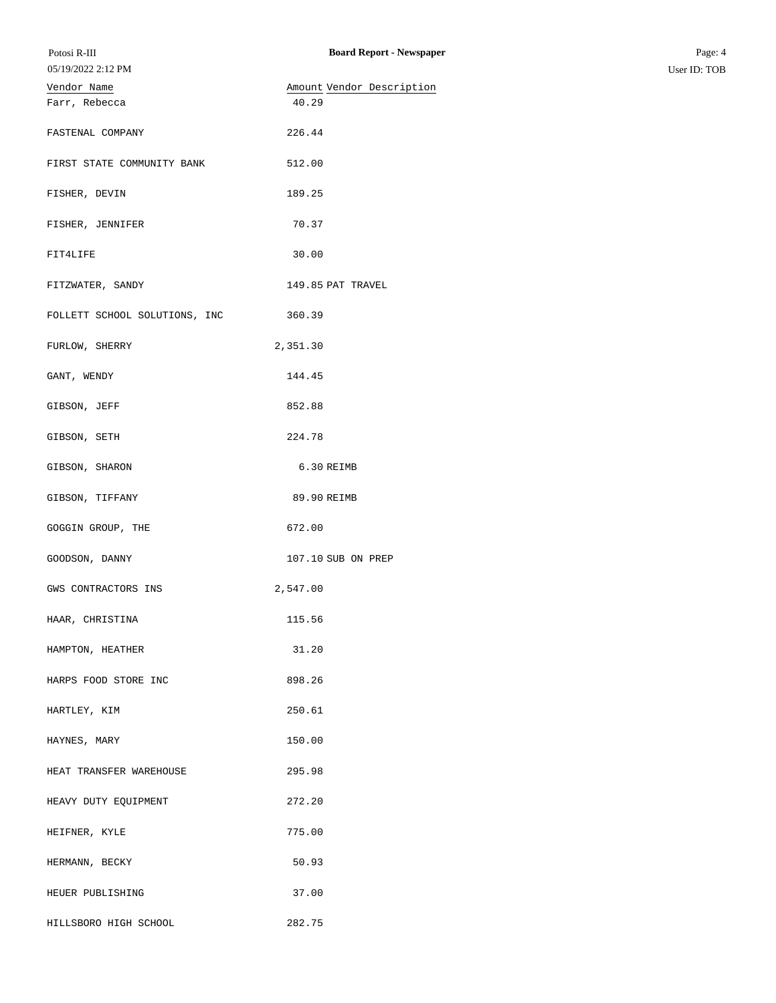| Potosi R-III                  | <b>Board Report - Newspaper</b> | Page: 4      |
|-------------------------------|---------------------------------|--------------|
| 05/19/2022 2:12 PM            |                                 | User ID: TOB |
| Vendor Name                   | Amount Vendor Description       |              |
| Farr, Rebecca                 | 40.29                           |              |
| FASTENAL COMPANY              | 226.44                          |              |
| FIRST STATE COMMUNITY BANK    | 512.00                          |              |
| FISHER, DEVIN                 | 189.25                          |              |
| FISHER, JENNIFER              | 70.37                           |              |
| FIT4LIFE                      | 30.00                           |              |
| FITZWATER, SANDY              | 149.85 PAT TRAVEL               |              |
| FOLLETT SCHOOL SOLUTIONS, INC | 360.39                          |              |
| FURLOW, SHERRY                | 2,351.30                        |              |
| GANT, WENDY                   | 144.45                          |              |
| GIBSON, JEFF                  | 852.88                          |              |
| GIBSON, SETH                  | 224.78                          |              |
| GIBSON, SHARON                | 6.30 REIMB                      |              |
| GIBSON, TIFFANY               | 89.90 REIMB                     |              |
| GOGGIN GROUP, THE             | 672.00                          |              |
| GOODSON, DANNY                | 107.10 SUB ON PREP              |              |
| GWS CONTRACTORS INS           | 2,547.00                        |              |
| HAAR, CHRISTINA               | 115.56                          |              |
| HAMPTON, HEATHER              | 31.20                           |              |
| HARPS FOOD STORE INC          | 898.26                          |              |
| HARTLEY, KIM                  | 250.61                          |              |
| HAYNES, MARY                  | 150.00                          |              |
| HEAT TRANSFER WAREHOUSE       | 295.98                          |              |
| HEAVY DUTY EQUIPMENT          | 272.20                          |              |
| HEIFNER, KYLE                 | 775.00                          |              |
| HERMANN, BECKY                | 50.93                           |              |
| HEUER PUBLISHING              | 37.00                           |              |
| HILLSBORO HIGH SCHOOL         | 282.75                          |              |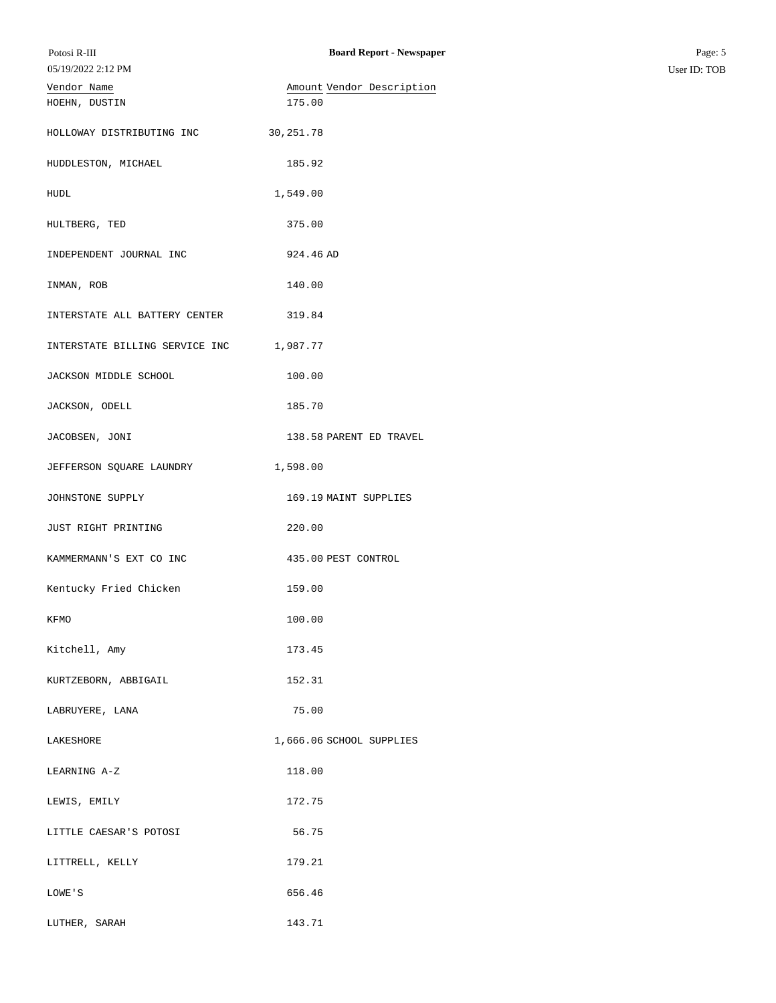| Potosi R-III                   | <b>Board Report - Newspaper</b> | Page: 5      |
|--------------------------------|---------------------------------|--------------|
| 05/19/2022 2:12 PM             |                                 | User ID: TOB |
| Vendor Name                    | Amount Vendor Description       |              |
| HOEHN, DUSTIN                  | 175.00                          |              |
|                                |                                 |              |
| HOLLOWAY DISTRIBUTING INC      | 30, 251.78                      |              |
|                                |                                 |              |
| HUDDLESTON, MICHAEL            | 185.92                          |              |
|                                |                                 |              |
| HUDL                           | 1,549.00                        |              |
|                                |                                 |              |
| HULTBERG, TED                  | 375.00                          |              |
|                                |                                 |              |
| INDEPENDENT JOURNAL INC        | 924.46 AD                       |              |
|                                |                                 |              |
| INMAN, ROB                     | 140.00                          |              |
|                                |                                 |              |
| INTERSTATE ALL BATTERY CENTER  | 319.84                          |              |
| INTERSTATE BILLING SERVICE INC | 1,987.77                        |              |
|                                |                                 |              |
| JACKSON MIDDLE SCHOOL          | 100.00                          |              |
|                                |                                 |              |
| JACKSON, ODELL                 | 185.70                          |              |
|                                |                                 |              |
| JACOBSEN, JONI                 | 138.58 PARENT ED TRAVEL         |              |
|                                |                                 |              |
| JEFFERSON SQUARE LAUNDRY       | 1,598.00                        |              |
|                                |                                 |              |
| JOHNSTONE SUPPLY               | 169.19 MAINT SUPPLIES           |              |
|                                |                                 |              |
| JUST RIGHT PRINTING            | 220.00                          |              |
|                                |                                 |              |
| KAMMERMANN'S EXT CO INC        | 435.00 PEST CONTROL             |              |
|                                |                                 |              |
| Kentucky Fried Chicken         | 159.00                          |              |
|                                |                                 |              |
| KFMO                           | 100.00                          |              |
|                                |                                 |              |
| Kitchell, Amy                  | 173.45                          |              |
| KURTZEBORN, ABBIGAIL           | 152.31                          |              |
|                                |                                 |              |
| LABRUYERE, LANA                | 75.00                           |              |
|                                |                                 |              |
| LAKESHORE                      | 1,666.06 SCHOOL SUPPLIES        |              |
|                                |                                 |              |
| LEARNING A-Z                   | 118.00                          |              |
|                                |                                 |              |
| LEWIS, EMILY                   | 172.75                          |              |
|                                |                                 |              |
| LITTLE CAESAR'S POTOSI         | 56.75                           |              |
|                                |                                 |              |
| LITTRELL, KELLY                | 179.21                          |              |
|                                |                                 |              |
| LOWE'S                         | 656.46                          |              |
|                                |                                 |              |
| LUTHER, SARAH                  | 143.71                          |              |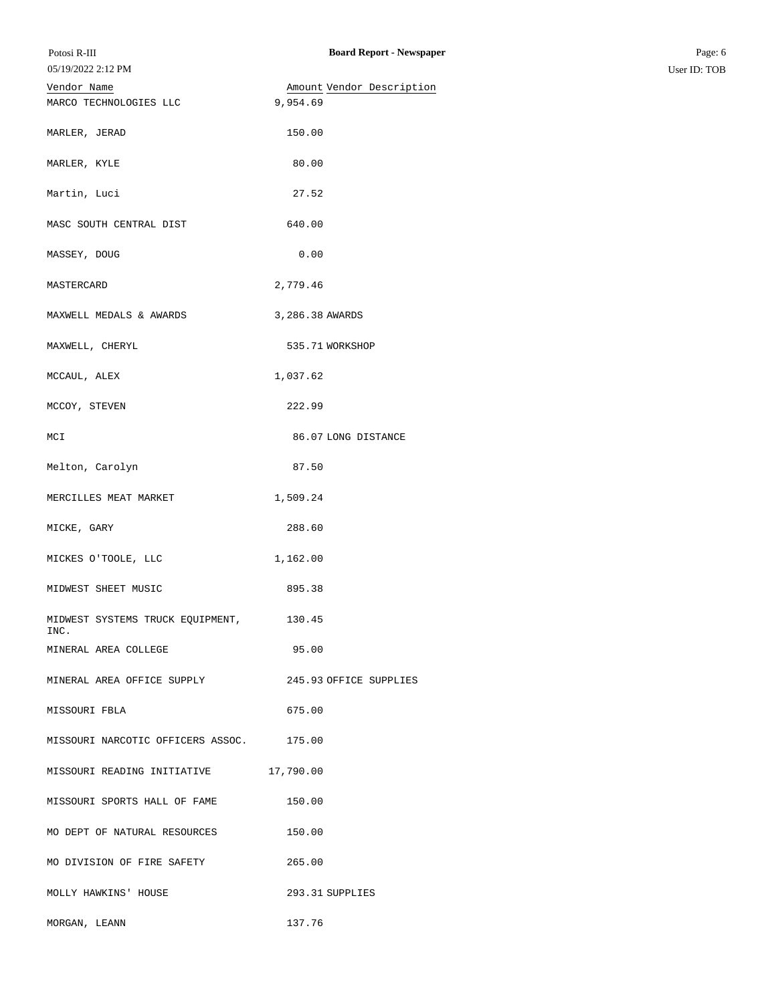| Vendor Name                              | Amount Vendor Description |
|------------------------------------------|---------------------------|
| MARCO TECHNOLOGIES LLC                   | 9,954.69                  |
| MARLER, JERAD                            | 150.00                    |
| MARLER, KYLE                             | 80.00                     |
| Martin, Luci                             | 27.52                     |
| MASC SOUTH CENTRAL DIST                  | 640.00                    |
| MASSEY, DOUG                             | 0.00                      |
| MASTERCARD                               | 2,779.46                  |
| MAXWELL MEDALS & AWARDS                  | 3,286.38 AWARDS           |
| MAXWELL, CHERYL                          | 535.71 WORKSHOP           |
| MCCAUL, ALEX                             | 1,037.62                  |
| MCCOY, STEVEN                            | 222.99                    |
| MCI                                      | 86.07 LONG DISTANCE       |
| Melton, Carolyn                          | 87.50                     |
| MERCILLES MEAT MARKET                    | 1,509.24                  |
| MICKE, GARY                              | 288.60                    |
| MICKES O'TOOLE, LLC                      | 1,162.00                  |
| MIDWEST SHEET MUSIC                      | 895.38                    |
| MIDWEST SYSTEMS TRUCK EQUIPMENT,<br>INC. | 130.45                    |
| MINERAL AREA COLLEGE                     | 95.00                     |
| MINERAL AREA OFFICE SUPPLY               | 245.93 OFFICE SUPPLIES    |
| MISSOURI FBLA                            | 675.00                    |
| MISSOURI NARCOTIC OFFICERS ASSOC.        | 175.00                    |
| MISSOURI READING INITIATIVE              | 17,790.00                 |
| MISSOURI SPORTS HALL OF FAME             | 150.00                    |
| MO DEPT OF NATURAL RESOURCES             | 150.00                    |
| MO DIVISION OF FIRE SAFETY               | 265.00                    |
| MOLLY HAWKINS' HOUSE                     | 293.31 SUPPLIES           |
| MORGAN, LEANN                            | 137.76                    |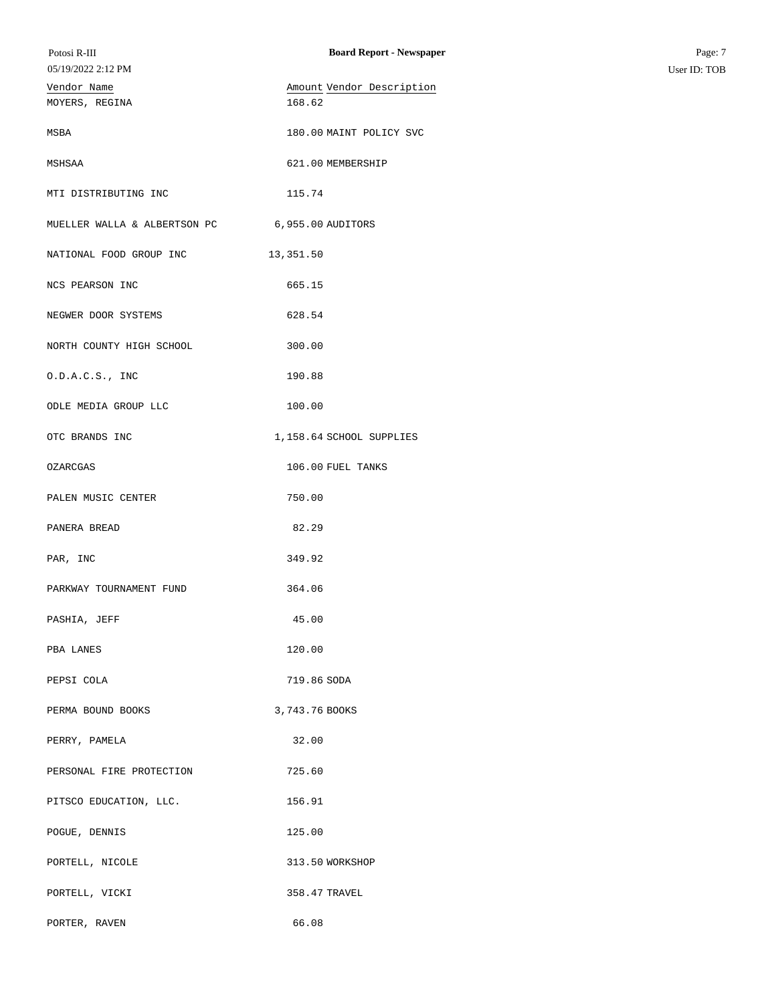| Potosi R-III<br>05/19/2022 2:12 PM | <b>Board Report - Newspaper</b>     | Page: 7<br>User ID: TOB |
|------------------------------------|-------------------------------------|-------------------------|
| Vendor Name<br>MOYERS, REGINA      | Amount Vendor Description<br>168.62 |                         |
| MSBA                               | 180.00 MAINT POLICY SVC             |                         |
| MSHSAA                             | 621.00 MEMBERSHIP                   |                         |
| MTI DISTRIBUTING INC               | 115.74                              |                         |
| MUELLER WALLA & ALBERTSON PC       | 6,955.00 AUDITORS                   |                         |
| NATIONAL FOOD GROUP INC            | 13,351.50                           |                         |
| NCS PEARSON INC                    | 665.15                              |                         |
| NEGWER DOOR SYSTEMS                | 628.54                              |                         |
| NORTH COUNTY HIGH SCHOOL           | 300.00                              |                         |
| 0.D.A.C.S., INC                    | 190.88                              |                         |
| ODLE MEDIA GROUP LLC               | 100.00                              |                         |
| OTC BRANDS INC                     | 1,158.64 SCHOOL SUPPLIES            |                         |
| OZARCGAS                           | 106.00 FUEL TANKS                   |                         |
| PALEN MUSIC CENTER                 | 750.00                              |                         |
| PANERA BREAD                       | 82.29                               |                         |
| PAR, INC                           | 349.92                              |                         |
| PARKWAY TOURNAMENT FUND            | 364.06                              |                         |
| PASHIA, JEFF                       | 45.00                               |                         |
| PBA LANES                          | 120.00                              |                         |
| PEPSI COLA                         | 719.86 SODA                         |                         |
| PERMA BOUND BOOKS                  | 3,743.76 BOOKS                      |                         |
| PERRY, PAMELA                      | 32.00                               |                         |
| PERSONAL FIRE PROTECTION           | 725.60                              |                         |
| PITSCO EDUCATION, LLC.             | 156.91                              |                         |
| POGUE, DENNIS                      | 125.00                              |                         |
| PORTELL, NICOLE                    | 313.50 WORKSHOP                     |                         |
| PORTELL, VICKI                     | 358.47 TRAVEL                       |                         |
| PORTER, RAVEN                      | 66.08                               |                         |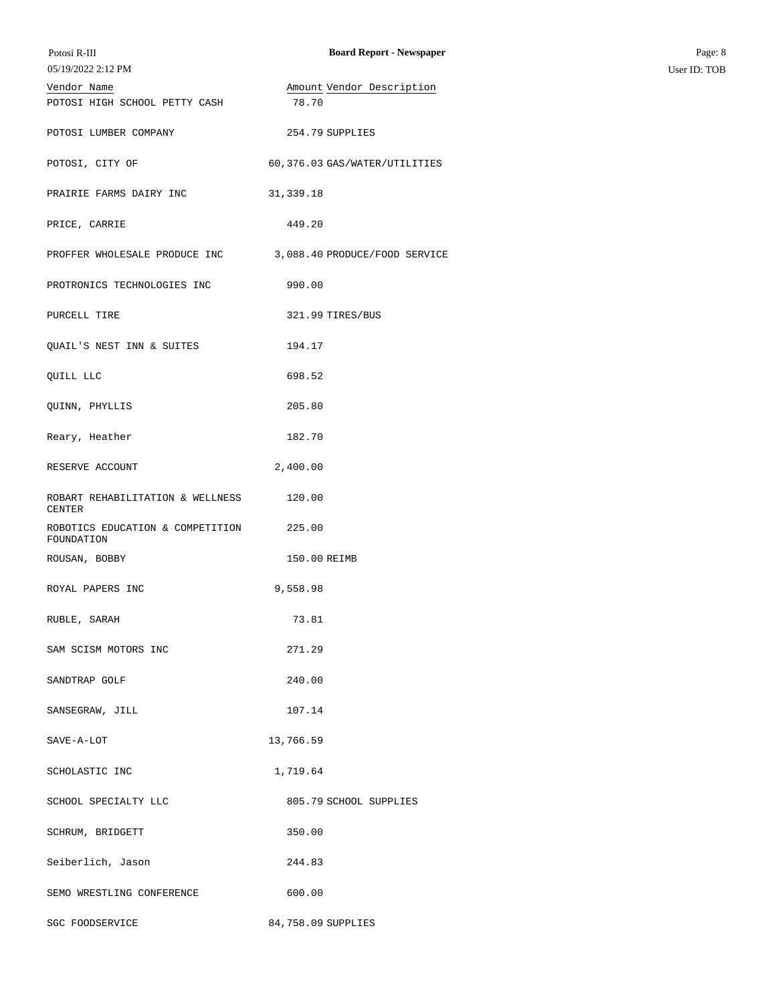| Potosi R-III<br>05/19/2022 2:12 PM                | <b>Board Report - Newspaper</b>    | Page: 8<br>User ID: TOB |
|---------------------------------------------------|------------------------------------|-------------------------|
| Vendor Name<br>POTOSI HIGH SCHOOL PETTY CASH      | Amount Vendor Description<br>78.70 |                         |
| POTOSI LUMBER COMPANY                             | 254.79 SUPPLIES                    |                         |
| POTOSI, CITY OF                                   | 60,376.03 GAS/WATER/UTILITIES      |                         |
| PRAIRIE FARMS DAIRY INC                           | 31, 339.18                         |                         |
| PRICE, CARRIE                                     | 449.20                             |                         |
| PROFFER WHOLESALE PRODUCE INC                     | 3,088.40 PRODUCE/FOOD SERVICE      |                         |
| PROTRONICS TECHNOLOGIES INC                       | 990.00                             |                         |
| PURCELL TIRE                                      | 321.99 TIRES/BUS                   |                         |
| QUAIL'S NEST INN & SUITES                         | 194.17                             |                         |
| QUILL LLC                                         | 698.52                             |                         |
| QUINN, PHYLLIS                                    | 205.80                             |                         |
| Reary, Heather                                    | 182.70                             |                         |
| RESERVE ACCOUNT                                   | 2,400.00                           |                         |
| ROBART REHABILITATION & WELLNESS<br><b>CENTER</b> | 120.00                             |                         |
| ROBOTICS EDUCATION & COMPETITION<br>FOUNDATION    | 225.00                             |                         |
| ROUSAN, BOBBY                                     | 150.00 REIMB                       |                         |
| ROYAL PAPERS INC                                  | 9,558.98                           |                         |
| RUBLE, SARAH                                      | 73.81                              |                         |
| SAM SCISM MOTORS INC                              | 271.29                             |                         |
| SANDTRAP GOLF                                     | 240.00                             |                         |
| SANSEGRAW, JILL                                   | 107.14                             |                         |
| SAVE-A-LOT                                        | 13,766.59                          |                         |
| SCHOLASTIC INC                                    | 1,719.64                           |                         |
| SCHOOL SPECIALTY LLC                              | 805.79 SCHOOL SUPPLIES             |                         |
| SCHRUM, BRIDGETT                                  | 350.00                             |                         |
| Seiberlich, Jason                                 | 244.83                             |                         |
| SEMO WRESTLING CONFERENCE                         | 600.00                             |                         |
| SGC FOODSERVICE                                   | 84,758.09 SUPPLIES                 |                         |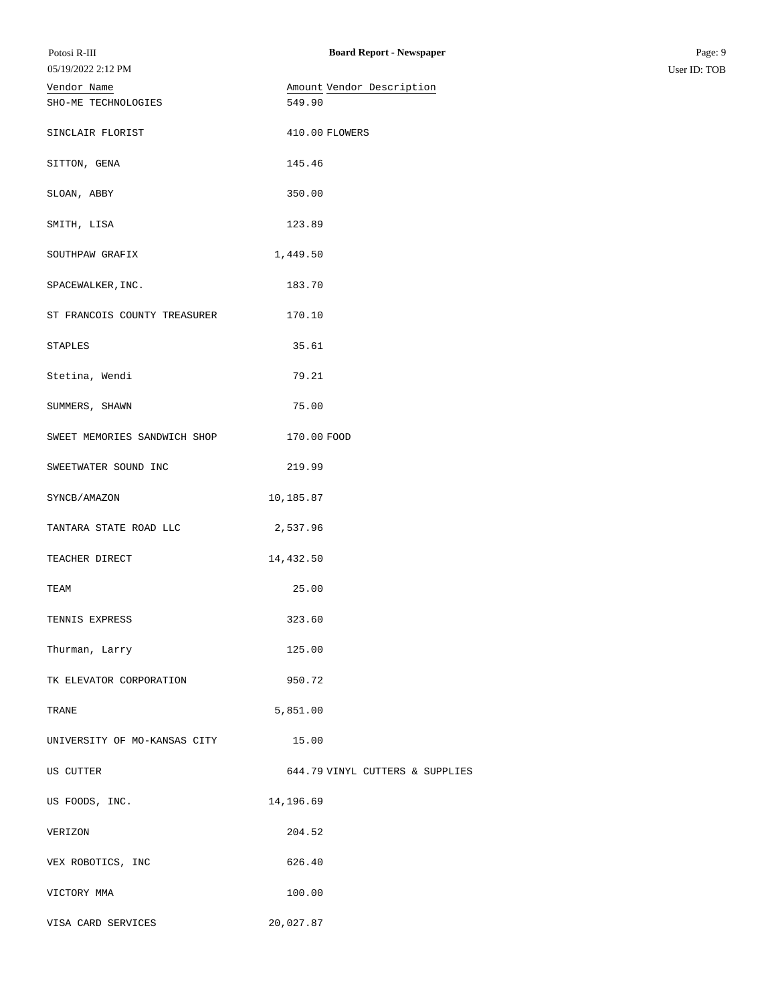| Potosi R-III<br>05/19/2022 2:12 PM | <b>Board Report - Newspaper</b> | Page: 9<br>User ID: TOB |
|------------------------------------|---------------------------------|-------------------------|
|                                    | Amount Vendor Description       |                         |
| Vendor Name<br>SHO-ME TECHNOLOGIES | 549.90                          |                         |
|                                    |                                 |                         |
| SINCLAIR FLORIST                   | 410.00 FLOWERS                  |                         |
| SITTON, GENA                       | 145.46                          |                         |
| SLOAN, ABBY                        | 350.00                          |                         |
| SMITH, LISA                        | 123.89                          |                         |
| SOUTHPAW GRAFIX                    | 1,449.50                        |                         |
| SPACEWALKER, INC.                  | 183.70                          |                         |
| ST FRANCOIS COUNTY TREASURER       | 170.10                          |                         |
| STAPLES                            | 35.61                           |                         |
| Stetina, Wendi                     | 79.21                           |                         |
| SUMMERS, SHAWN                     | 75.00                           |                         |
| SWEET MEMORIES SANDWICH SHOP       | 170.00 FOOD                     |                         |
| SWEETWATER SOUND INC               | 219.99                          |                         |
| SYNCB/AMAZON                       | 10,185.87                       |                         |
| TANTARA STATE ROAD LLC             | 2,537.96                        |                         |
| TEACHER DIRECT                     | 14,432.50                       |                         |
| TEAM                               | 25.00                           |                         |
| TENNIS EXPRESS                     | 323.60                          |                         |
| Thurman, Larry                     | 125.00                          |                         |
| TK ELEVATOR CORPORATION            | 950.72                          |                         |
| TRANE                              | 5,851.00                        |                         |
| UNIVERSITY OF MO-KANSAS CITY       | 15.00                           |                         |
| US CUTTER                          | 644.79 VINYL CUTTERS & SUPPLIES |                         |
| US FOODS, INC.                     | 14,196.69                       |                         |
| VERIZON                            | 204.52                          |                         |
| VEX ROBOTICS, INC                  | 626.40                          |                         |
| VICTORY MMA                        | 100.00                          |                         |
| VISA CARD SERVICES                 | 20,027.87                       |                         |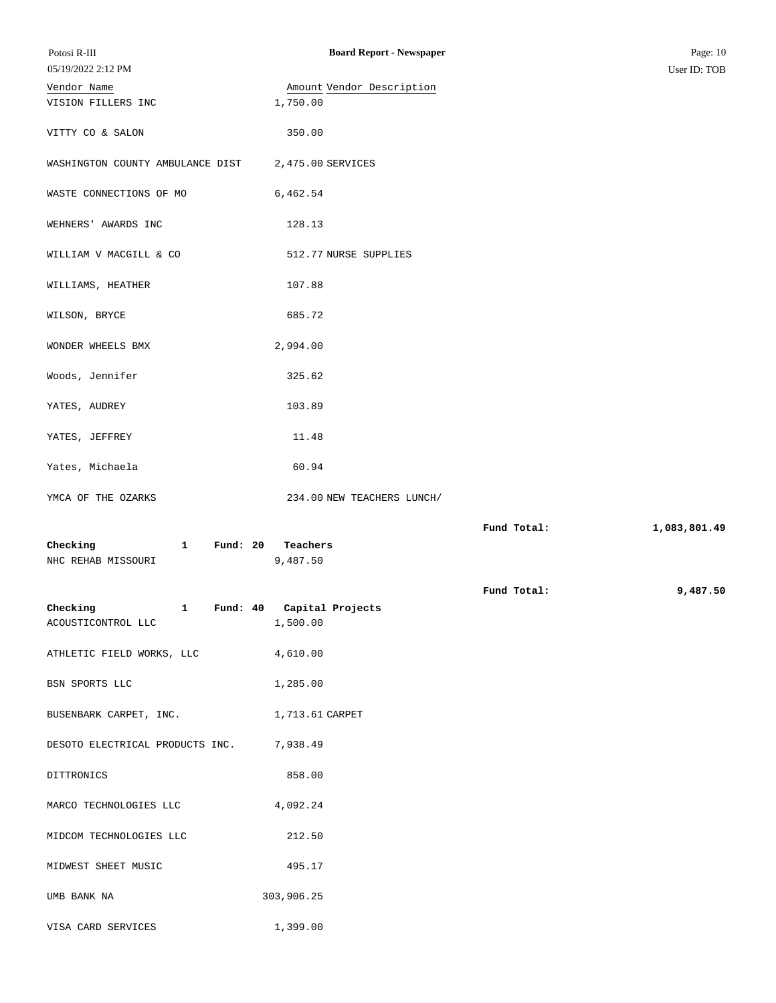| Potosi R-III<br>05/19/2022 2:12 PM                           | <b>Board Report - Newspaper</b>       |             | Page: 10<br>User ID: TOB |
|--------------------------------------------------------------|---------------------------------------|-------------|--------------------------|
| Vendor Name<br>VISION FILLERS INC                            | Amount Vendor Description<br>1,750.00 |             |                          |
| VITTY CO & SALON                                             | 350.00                                |             |                          |
| WASHINGTON COUNTY AMBULANCE DIST                             | 2,475.00 SERVICES                     |             |                          |
| WASTE CONNECTIONS OF MO                                      | 6,462.54                              |             |                          |
| WEHNERS' AWARDS INC                                          | 128.13                                |             |                          |
| WILLIAM V MACGILL & CO                                       | 512.77 NURSE SUPPLIES                 |             |                          |
| WILLIAMS, HEATHER                                            | 107.88                                |             |                          |
| WILSON, BRYCE                                                | 685.72                                |             |                          |
| WONDER WHEELS BMX                                            | 2,994.00                              |             |                          |
| Woods, Jennifer                                              | 325.62                                |             |                          |
| YATES, AUDREY                                                | 103.89                                |             |                          |
| YATES, JEFFREY                                               | 11.48                                 |             |                          |
| Yates, Michaela                                              | 60.94                                 |             |                          |
| YMCA OF THE OZARKS                                           | 234.00 NEW TEACHERS LUNCH/            |             |                          |
| Checking<br>Fund: $20$<br>$\mathbf{1}$<br>NHC REHAB MISSOURI | Teachers<br>9,487.50                  | Fund Total: | 1,083,801.49             |
| Checking<br>1 Fund: 40 Capital Projects                      |                                       | Fund Total: | 9,487.50                 |
| ACOUSTICONTROL LLC                                           | 1,500.00                              |             |                          |
| ATHLETIC FIELD WORKS, LLC 4,610.00                           |                                       |             |                          |
| BSN SPORTS LLC                                               | 1,285.00                              |             |                          |
| BUSENBARK CARPET, INC.                                       | 1,713.61 CARPET                       |             |                          |
| DESOTO ELECTRICAL PRODUCTS INC. 7,938.49                     |                                       |             |                          |
| DITTRONICS                                                   | 858.00                                |             |                          |
| MARCO TECHNOLOGIES LLC                                       | 4,092.24                              |             |                          |
| MIDCOM TECHNOLOGIES LLC                                      | 212.50                                |             |                          |
| MIDWEST SHEET MUSIC                                          | 495.17                                |             |                          |
| UMB BANK NA                                                  | 303,906.25                            |             |                          |
| VISA CARD SERVICES                                           | 1,399.00                              |             |                          |